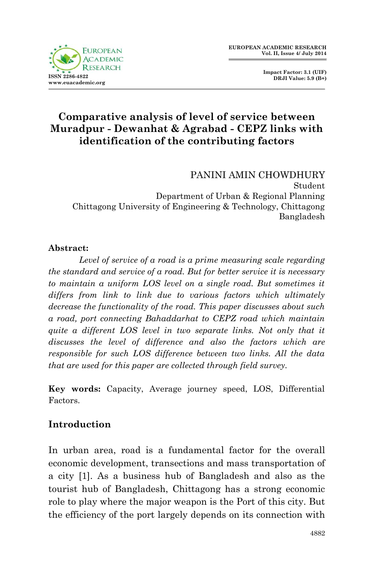

 **Impact Factor: 3.1 (UIF) DRJI Value: 5.9 (B+)**

# **Comparative analysis of level of service between Muradpur - Dewanhat & Agrabad - CEPZ links with identification of the contributing factors**

PANINI AMIN CHOWDHURY Student Department of Urban & Regional Planning Chittagong University of Engineering & Technology, Chittagong Bangladesh

#### **Abstract:**

*Level of service of a road is a prime measuring scale regarding the standard and service of a road. But for better service it is necessary to maintain a uniform LOS level on a single road. But sometimes it differs from link to link due to various factors which ultimately decrease the functionality of the road. This paper discusses about such a road, port connecting Bahaddarhat to CEPZ road which maintain quite a different LOS level in two separate links. Not only that it discusses the level of difference and also the factors which are responsible for such LOS difference between two links. All the data that are used for this paper are collected through field survey.*

**Key words:** Capacity, Average journey speed, LOS, Differential Factors.

### **Introduction**

In urban area, road is a fundamental factor for the overall economic development, transections and mass transportation of a city [1]. As a business hub of Bangladesh and also as the tourist hub of Bangladesh, Chittagong has a strong economic role to play where the major weapon is the Port of this city. But the efficiency of the port largely depends on its connection with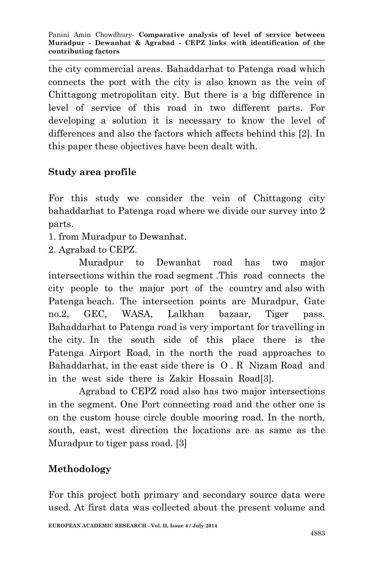the city commercial areas. Bahaddarhat to Patenga road which connects the port with the city is also known as the vein of Chittagong metropolitan city. But there is a big difference in level of service of this road in two different parts. For developing a solution it is necessary to know the level of differences and also the factors which affects behind this [2]. In this paper these objectives have been dealt with.

# **Study area profile**

For this study we consider the vein of Chittagong city bahaddarhat to Patenga road where we divide our survey into 2 parts.

- 1. from Muradpur to Dewanhat.
- 2. Agrabad to CEPZ.

Muradpur to Dewanhat road has two major intersections within the road segment .This road connects the city people to the major port of the country and also with Patenga beach. The intersection points are Muradpur, Gate no.2, GEC, WASA, Lalkhan bazaar, Tiger pass. Bahaddarhat to Patenga road is very important for travelling in the city. In the south side of this place there is the Patenga Airport Road, in the north the road approaches to Bahaddarhat, in the east side there is O . R Nizam Road and in the west side there is Zakir Hossain Road[3].

Agrabad to CEPZ road also has two major intersections in the segment. One Port connecting road and the other one is on the custom house circle double mooring road. In the north, south, east, west direction the locations are as same as the Muradpur to tiger pass road. [3]

# **Methodology**

For this project both primary and secondary source data were used. At first data was collected about the present volume and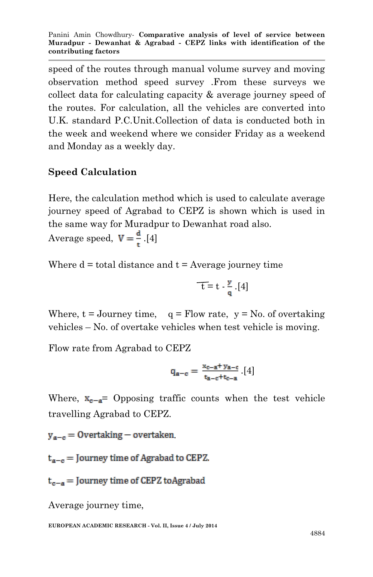speed of the routes through manual volume survey and moving observation method speed survey .From these surveys we collect data for calculating capacity & average journey speed of the routes. For calculation, all the vehicles are converted into U.K. standard P.C.Unit.Collection of data is conducted both in the week and weekend where we consider Friday as a weekend and Monday as a weekly day.

# **Speed Calculation**

Here, the calculation method which is used to calculate average journey speed of Agrabad to CEPZ is shown which is used in the same way for Muradpur to Dewanhat road also.

Average speed,  $V = \frac{d}{t}$ .[4]

Where  $d =$  total distance and  $t =$  Average journey time

$$
\overline{-t}=t-\frac{\mathbf{y}}{\mathbf{q}}.[4]
$$

Where,  $t = Journey time$ ,  $q = Flow rate$ ,  $y = No$ , of overtaking vehicles – No. of overtake vehicles when test vehicle is moving.

Flow rate from Agrabad to CEPZ

$$
q_{\mathbf{a}-\mathbf{c}}=\frac{x_{\mathbf{c}-\mathbf{a}^+}\,y_{\mathbf{a}-\mathbf{c}}}{t_{\mathbf{a}-\mathbf{c}}+t_{\mathbf{c}-\mathbf{a}}}\,.\,[4]
$$

Where,  $x_{c-a}$  Opposing traffic counts when the test vehicle travelling Agrabad to CEPZ.

 $y_{a-c} =$  Overtaking – overtaken

 $t_{a-c}$  = Journey time of Agrabad to CEPZ.

 $t_{c-a}$  = Journey time of CEPZ toAgrabad

Average journey time,

**EUROPEAN ACADEMIC RESEARCH - Vol. II, Issue 4 / July 2014**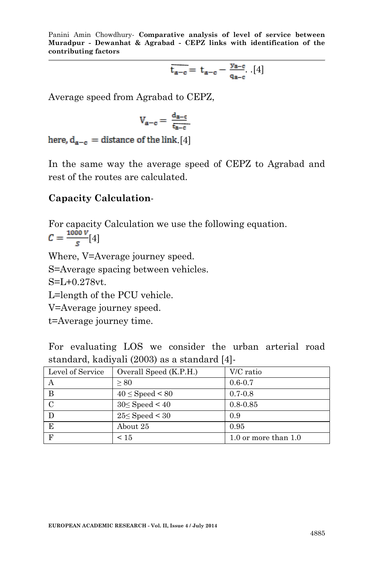$$
\overline{\mathbf{t}_{\mathbf{a}-\mathbf{c}}} = \mathbf{t}_{\mathbf{a}-\mathbf{c}} - \frac{\mathbf{y}_{\mathbf{a}-\mathbf{c}}}{\mathbf{q}_{\mathbf{a}-\mathbf{c}}} \cdot [4]
$$

Average speed from Agrabad to CEPZ,

$$
V_{a-c}=\,\frac{d_{a-c}}{t_{a-c}}
$$

here,  $d_{a-c}$  = distance of the link. [4]

In the same way the average speed of CEPZ to Agrabad and rest of the routes are calculated.

#### **Capacity Calculation**-

For capacity Calculation we use the following equation.  $C = \frac{1000 V}{s} [4]$ 

Where, V=Average journey speed. S=Average spacing between vehicles. S=L+0.278vt. L=length of the PCU vehicle. V=Average journey speed. t=Average journey time.

For evaluating LOS we consider the urban arterial road standard, kadiyali (2003) as a standard [4]-

| Level of Service | Overall Speed (K.P.H.) | V/C ratio              |
|------------------|------------------------|------------------------|
|                  | > 80                   | $0.6 - 0.7$            |
| B                | $40 \leq$ Speed < 80   | $0.7 - 0.8$            |
|                  | $30 \leq$ Speed < 40   | $0.8 - 0.85$           |
|                  | $25 \leq$ Speed < 30   | 0.9                    |
| E                | About 25               | 0.95                   |
| F                | $\leq 15$              | 1.0 or more than $1.0$ |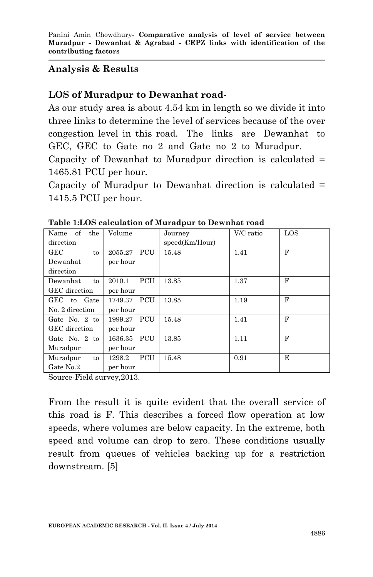### **Analysis & Results**

## **LOS of Muradpur to Dewanhat road**-

As our study area is about 4.54 km in length so we divide it into three links to determine the level of services because of the over congestion level in this road. The links are Dewanhat to GEC, GEC to Gate no 2 and Gate no 2 to Muradpur. Capacity of Dewanhat to Muradpur direction is calculated = 1465.81 PCU per hour.

Capacity of Muradpur to Dewanhat direction is calculated = 1415.5 PCU per hour.

| xoic 1.800 caicamuion oi maraapar to Bewinnae roum |                      |                |           |     |  |  |  |
|----------------------------------------------------|----------------------|----------------|-----------|-----|--|--|--|
| of the<br>Name                                     | Volume               | Journey        | V/C ratio | LOS |  |  |  |
| direction                                          |                      | speed(Km/Hour) |           |     |  |  |  |
| <b>GEC</b><br>to                                   | PCU<br>2055.27       | 15.48          | 1.41      | F   |  |  |  |
| Dewanhat                                           | per hour             |                |           |     |  |  |  |
| direction                                          |                      |                |           |     |  |  |  |
| Dewanhat<br>to                                     | <b>PCU</b><br>2010.1 | 13.85          | 1.37      | F   |  |  |  |
| GEC direction                                      | per hour             |                |           |     |  |  |  |
| GEC to<br>Gate                                     | 1749.37 PCU          | 13.85          | 1.19      | F   |  |  |  |
| No. 2 direction                                    | per hour             |                |           |     |  |  |  |
| Gate No. 2 to                                      | 1999.27 PCU          | 15.48          | 1.41      | F   |  |  |  |
| GEC direction                                      | per hour             |                |           |     |  |  |  |
| Gate No. 2 to                                      | 1636.35 PCU          | 13.85          | 1.11      | F   |  |  |  |
| Muradpur                                           | per hour             |                |           |     |  |  |  |
| Muradpur<br>to                                     | PCU<br>1298.2        | 15.48          | 0.91      | E   |  |  |  |
| Gate No.2                                          | per hour             |                |           |     |  |  |  |

**Table 1:LOS calculation of Muradpur to Dewnhat road**

Source-Field survey,2013.

From the result it is quite evident that the overall service of this road is F. This describes a forced flow operation at low speeds, where volumes are below capacity. In the extreme, both speed and volume can drop to zero. These conditions usually result from queues of vehicles backing up for a restriction downstream. [5]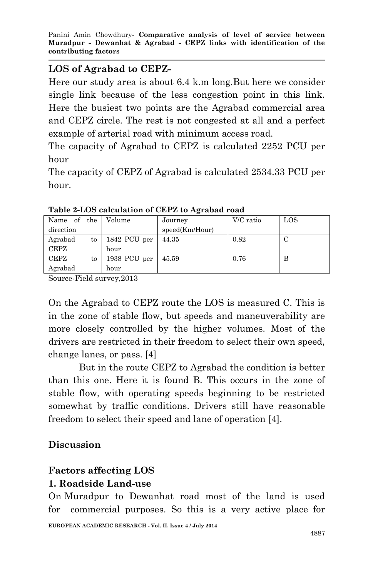Panini Amin Chowdhury*-* **Comparative analysis of level of service between Muradpur - Dewanhat & Agrabad - CEPZ links with identification of the contributing factors**

### **LOS of Agrabad to CEPZ-**

Here our study area is about 6.4 k.m long.But here we consider single link because of the less congestion point in this link. Here the busiest two points are the Agrabad commercial area and CEPZ circle. The rest is not congested at all and a perfect example of arterial road with minimum access road.

The capacity of Agrabad to CEPZ is calculated 2252 PCU per hour

The capacity of CEPZ of Agrabad is calculated 2534.33 PCU per hour.

| Name of the |    | Volume       | Journey        | V/C ratio | LOS |
|-------------|----|--------------|----------------|-----------|-----|
| direction   |    |              | speed(Km/Hour) |           |     |
| Agrabad     | to | 1842 PCU per | 44.35          | 0.82      |     |
| CEPZ        |    | hour         |                |           |     |
| <b>CEPZ</b> | to | 1938 PCU per | 45.59          | 0.76      | в   |
| Agrabad     |    | hour         |                |           |     |

**Table 2-LOS calculation of CEPZ to Agrabad road**

Source-Field survey,2013

On the Agrabad to CEPZ route the LOS is measured C. This is in the zone of stable flow, but speeds and maneuverability are more closely controlled by the higher volumes. Most of the drivers are restricted in their freedom to select their own speed, change lanes, or pass. [4]

But in the route CEPZ to Agrabad the condition is better than this one. Here it is found B. This occurs in the zone of stable flow, with operating speeds beginning to be restricted somewhat by traffic conditions. Drivers still have reasonable freedom to select their speed and lane of operation [4].

# **Discussion**

### **Factors affecting LOS 1. Roadside Land-use**

On Muradpur to Dewanhat road most of the land is used for commercial purposes. So this is a very active place for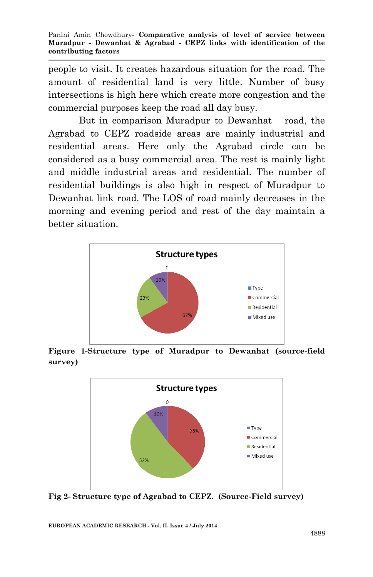people to visit. It creates hazardous situation for the road. The amount of residential land is very little. Number of busy intersections is high here which create more congestion and the commercial purposes keep the road all day busy.

But in comparison Muradpur to Dewanhat road, the Agrabad to CEPZ roadside areas are mainly industrial and residential areas. Here only the Agrabad circle can be considered as a busy commercial area. The rest is mainly light and middle industrial areas and residential. The number of residential buildings is also high in respect of Muradpur to Dewanhat link road. The LOS of road mainly decreases in the morning and evening period and rest of the day maintain a better situation.



**Figure 1-Structure type of Muradpur to Dewanhat (source-field survey)**



**Fig 2- Structure type of Agrabad to CEPZ. (Source-Field survey)**

**EUROPEAN ACADEMIC RESEARCH - Vol. II, Issue 4 / July 2014**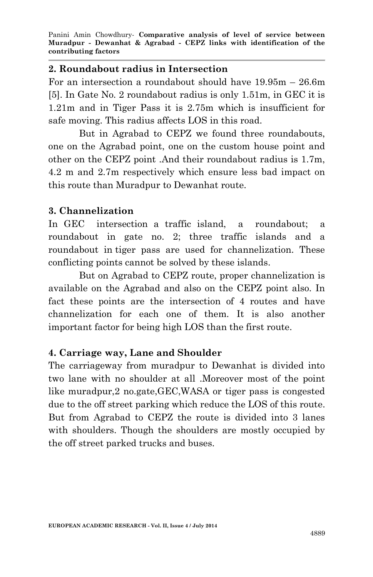#### **2. Roundabout radius in Intersection**

For an intersection a roundabout should have 19.95m – 26.6m [5]. In Gate No. 2 roundabout radius is only 1.51m, in GEC it is 1.21m and in Tiger Pass it is 2.75m which is insufficient for safe moving. This radius affects LOS in this road.

But in Agrabad to CEPZ we found three roundabouts, one on the Agrabad point, one on the custom house point and other on the CEPZ point .And their roundabout radius is 1.7m, 4.2 m and 2.7m respectively which ensure less bad impact on this route than Muradpur to Dewanhat route.

### **3. Channelization**

In GEC intersection a traffic island, a roundabout; a roundabout in gate no. 2; three traffic islands and a roundabout in tiger pass are used for channelization. These conflicting points cannot be solved by these islands.

But on Agrabad to CEPZ route, proper channelization is available on the Agrabad and also on the CEPZ point also. In fact these points are the intersection of 4 routes and have channelization for each one of them. It is also another important factor for being high LOS than the first route.

# **4. Carriage way, Lane and Shoulder**

The carriageway from muradpur to Dewanhat is divided into two lane with no shoulder at all .Moreover most of the point like muradpur,2 no.gate,GEC,WASA or tiger pass is congested due to the off street parking which reduce the LOS of this route. But from Agrabad to CEPZ the route is divided into 3 lanes with shoulders. Though the shoulders are mostly occupied by the off street parked trucks and buses.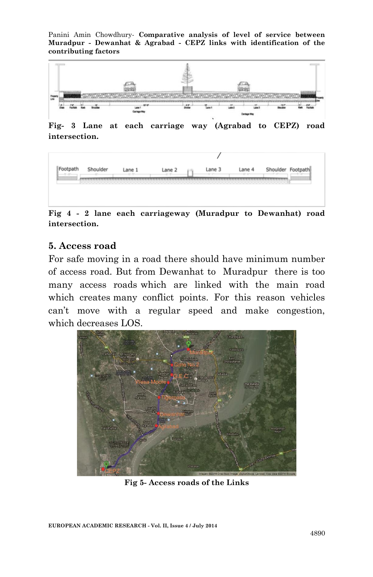Panini Amin Chowdhury*-* **Comparative analysis of level of service between Muradpur - Dewanhat & Agrabad - CEPZ links with identification of the contributing factors**



**Fig- 3 Lane at each carriage way (Agrabad to CEPZ) road intersection.**



**Fig 4 - 2 lane each carriageway (Muradpur to Dewanhat) road intersection.**

#### **5. Access road**

For safe moving in a road there should have minimum number of access road. But from Dewanhat to Muradpur there is too many access roads which are linked with the main road which creates many conflict points. For this reason vehicles can't move with a regular speed and make congestion, which decreases LOS.



**Fig 5- Access roads of the Links**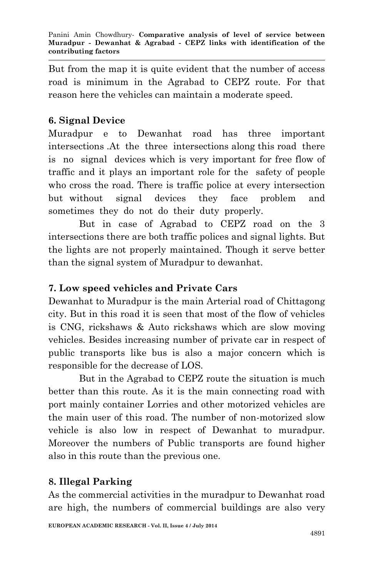But from the map it is quite evident that the number of access road is minimum in the Agrabad to CEPZ route. For that reason here the vehicles can maintain a moderate speed.

# **6. Signal Device**

Muradpur e to Dewanhat road has three important intersections .At the three intersections along this road there is no signal devices which is very important for free flow of traffic and it plays an important role for the safety of people who cross the road. There is traffic police at every intersection but without signal devices they face problem and sometimes they do not do their duty properly.

But in case of Agrabad to CEPZ road on the 3 intersections there are both traffic polices and signal lights. But the lights are not properly maintained. Though it serve better than the signal system of Muradpur to dewanhat.

# **7. Low speed vehicles and Private Cars**

Dewanhat to Muradpur is the main Arterial road of Chittagong city. But in this road it is seen that most of the flow of vehicles is CNG, rickshaws & Auto rickshaws which are slow moving vehicles. Besides increasing number of private car in respect of public transports like bus is also a major concern which is responsible for the decrease of LOS.

But in the Agrabad to CEPZ route the situation is much better than this route. As it is the main connecting road with port mainly container Lorries and other motorized vehicles are the main user of this road. The number of non-motorized slow vehicle is also low in respect of Dewanhat to muradpur. Moreover the numbers of Public transports are found higher also in this route than the previous one.

### **8. Illegal Parking**

As the commercial activities in the muradpur to Dewanhat road are high, the numbers of commercial buildings are also very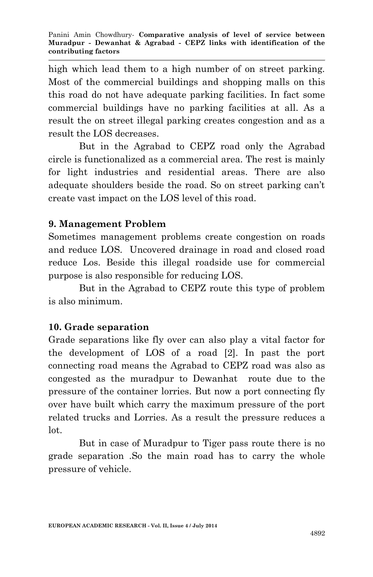high which lead them to a high number of on street parking. Most of the commercial buildings and shopping malls on this this road do not have adequate parking facilities. In fact some commercial buildings have no parking facilities at all. As a result the on street illegal parking creates congestion and as a result the LOS decreases.

But in the Agrabad to CEPZ road only the Agrabad circle is functionalized as a commercial area. The rest is mainly for light industries and residential areas. There are also adequate shoulders beside the road. So on street parking can't create vast impact on the LOS level of this road.

# **9. Management Problem**

Sometimes management problems create congestion on roads and reduce LOS. Uncovered drainage in road and closed road reduce Los. Beside this illegal roadside use for commercial purpose is also responsible for reducing LOS.

But in the Agrabad to CEPZ route this type of problem is also minimum.

# **10. Grade separation**

Grade separations like fly over can also play a vital factor for the development of LOS of a road [2]. In past the port connecting road means the Agrabad to CEPZ road was also as congested as the muradpur to Dewanhat route due to the pressure of the container lorries. But now a port connecting fly over have built which carry the maximum pressure of the port related trucks and Lorries. As a result the pressure reduces a lot.

But in case of Muradpur to Tiger pass route there is no grade separation .So the main road has to carry the whole pressure of vehicle.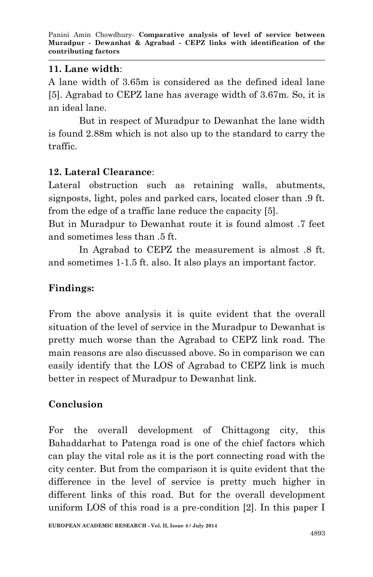### **11. Lane width**:

A lane width of 3.65m is considered as the defined ideal lane [5]. Agrabad to CEPZ lane has average width of 3.67m. So, it is an ideal lane.

But in respect of Muradpur to Dewanhat the lane width is found 2.88m which is not also up to the standard to carry the traffic.

# **12. Lateral Clearance**:

Lateral obstruction such as retaining walls, abutments, signposts, light, poles and parked cars, located closer than .9 ft. from the edge of a traffic lane reduce the capacity [5].

But in Muradpur to Dewanhat route it is found almost .7 feet and sometimes less than .5 ft.

In Agrabad to CEPZ the measurement is almost .8 ft. and sometimes 1-1.5 ft. also. It also plays an important factor.

# **Findings:**

From the above analysis it is quite evident that the overall situation of the level of service in the Muradpur to Dewanhat is pretty much worse than the Agrabad to CEPZ link road. The main reasons are also discussed above. So in comparison we can easily identify that the LOS of Agrabad to CEPZ link is much better in respect of Muradpur to Dewanhat link.

# **Conclusion**

For the overall development of Chittagong city, this Bahaddarhat to Patenga road is one of the chief factors which can play the vital role as it is the port connecting road with the city center. But from the comparison it is quite evident that the difference in the level of service is pretty much higher in different links of this road. But for the overall development uniform LOS of this road is a pre-condition [2]. In this paper I